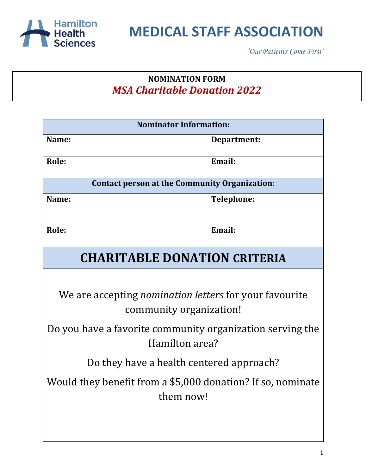

*'Our Patients Come First'*

#### **NOMINATION FORM** *MSA Charitable Donation 2022*

| <b>Nominator Information:</b>                                                            |                   |  |
|------------------------------------------------------------------------------------------|-------------------|--|
| Name:                                                                                    | Department:       |  |
| Role:                                                                                    | Email:            |  |
| <b>Contact person at the Community Organization:</b>                                     |                   |  |
| Name:                                                                                    | <b>Telephone:</b> |  |
| Role:                                                                                    | Email:            |  |
| <b>CHARITABLE DONATION CRITERIA</b>                                                      |                   |  |
|                                                                                          |                   |  |
| We are accepting <i>nomination letters</i> for your favourite<br>community organization! |                   |  |
| Do you have a favorite community organization serving the<br>Hamilton area?              |                   |  |
| Do they have a health centered approach?                                                 |                   |  |
| Would they benefit from a \$5,000 donation? If so, nominate<br>them now!                 |                   |  |
|                                                                                          |                   |  |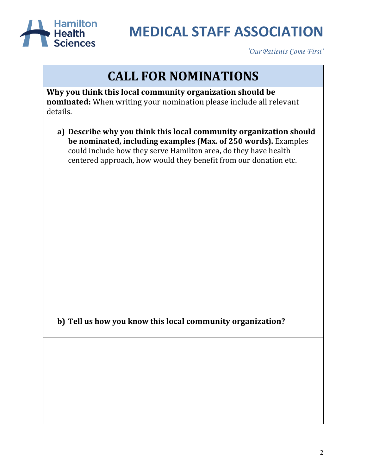

*'Our Patients Come First'*

### **CALL FOR NOMINATIONS**

**Why you think this local community organization should be nominated:** When writing your nomination please include all relevant details.

**a) Describe why you think this local community organization should be nominated, including examples (Max. of 250 words).** Examples could include how they serve Hamilton area, do they have health centered approach, how would they benefit from our donation etc.

**b) Tell us how you know this local community organization?**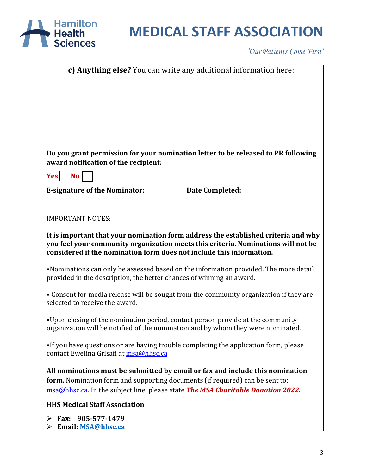

*'Our Patients Come First'*

| c) Anything else? You can write any additional information here:                                                                                                                                                                                |                        |  |
|-------------------------------------------------------------------------------------------------------------------------------------------------------------------------------------------------------------------------------------------------|------------------------|--|
|                                                                                                                                                                                                                                                 |                        |  |
|                                                                                                                                                                                                                                                 |                        |  |
| Do you grant permission for your nomination letter to be released to PR following<br>award notification of the recipient:                                                                                                                       |                        |  |
| <b>No</b><br><b>Yes</b>                                                                                                                                                                                                                         |                        |  |
| <b>E-signature of the Nominator:</b>                                                                                                                                                                                                            | <b>Date Completed:</b> |  |
|                                                                                                                                                                                                                                                 |                        |  |
| <b>IMPORTANT NOTES:</b>                                                                                                                                                                                                                         |                        |  |
| It is important that your nomination form address the established criteria and why<br>you feel your community organization meets this criteria. Nominations will not be<br>considered if the nomination form does not include this information. |                        |  |
| •Nominations can only be assessed based on the information provided. The more detail<br>provided in the description, the better chances of winning an award.                                                                                    |                        |  |
| • Consent for media release will be sought from the community organization if they are<br>selected to receive the award.                                                                                                                        |                        |  |
| •Upon closing of the nomination period, contact person provide at the community<br>organization will be notified of the nomination and by whom they were nominated.                                                                             |                        |  |
| •If you have questions or are having trouble completing the application form, please<br>contact Ewelina Grisafi at msa@hhsc.ca                                                                                                                  |                        |  |
| All nominations must be submitted by email or fax and include this nomination                                                                                                                                                                   |                        |  |
| form. Nomination form and supporting documents (if required) can be sent to:<br>msa@hhsc.ca. In the subject line, please state The MSA Charitable Donation 2022.                                                                                |                        |  |
| <b>HHS Medical Staff Association</b>                                                                                                                                                                                                            |                        |  |
| Fax: 905-577-1479<br>➤<br>Email: MSA@hhsc.ca                                                                                                                                                                                                    |                        |  |